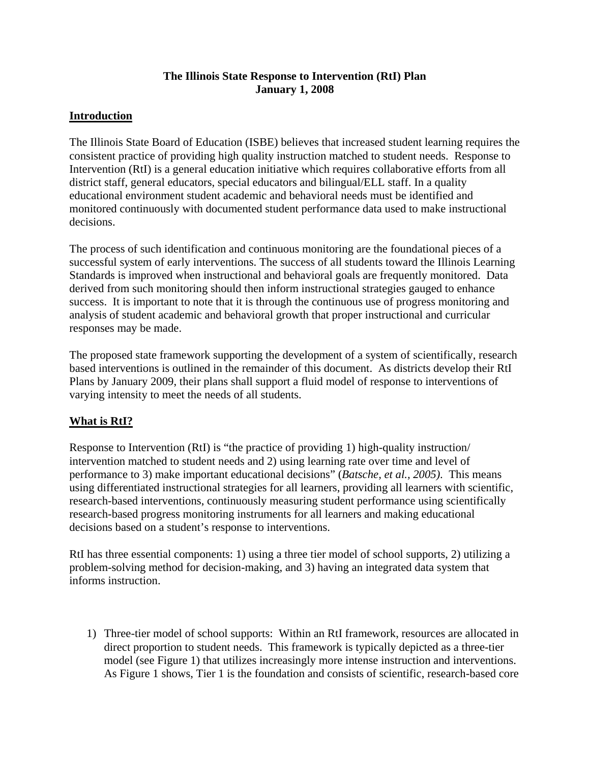## **The Illinois State Response to Intervention (RtI) Plan January 1, 2008**

# **Introduction**

The Illinois State Board of Education (ISBE) believes that increased student learning requires the consistent practice of providing high quality instruction matched to student needs. Response to Intervention (RtI) is a general education initiative which requires collaborative efforts from all district staff, general educators, special educators and bilingual/ELL staff. In a quality educational environment student academic and behavioral needs must be identified and monitored continuously with documented student performance data used to make instructional decisions.

The process of such identification and continuous monitoring are the foundational pieces of a successful system of early interventions. The success of all students toward the Illinois Learning Standards is improved when instructional and behavioral goals are frequently monitored. Data derived from such monitoring should then inform instructional strategies gauged to enhance success. It is important to note that it is through the continuous use of progress monitoring and analysis of student academic and behavioral growth that proper instructional and curricular responses may be made.

The proposed state framework supporting the development of a system of scientifically, research based interventions is outlined in the remainder of this document. As districts develop their RtI Plans by January 2009, their plans shall support a fluid model of response to interventions of varying intensity to meet the needs of all students.

## **What is RtI?**

Response to Intervention (RtI) is "the practice of providing 1) high-quality instruction/ intervention matched to student needs and 2) using learning rate over time and level of performance to 3) make important educational decisions" (*Batsche, et al., 2005)*. This means using differentiated instructional strategies for all learners, providing all learners with scientific, research-based interventions, continuously measuring student performance using scientifically research-based progress monitoring instruments for all learners and making educational decisions based on a student's response to interventions.

RtI has three essential components: 1) using a three tier model of school supports, 2) utilizing a problem-solving method for decision-making, and 3) having an integrated data system that informs instruction.

1) Three-tier model of school supports: Within an RtI framework, resources are allocated in direct proportion to student needs. This framework is typically depicted as a three-tier model (see Figure 1) that utilizes increasingly more intense instruction and interventions. As Figure 1 shows, Tier 1 is the foundation and consists of scientific, research-based core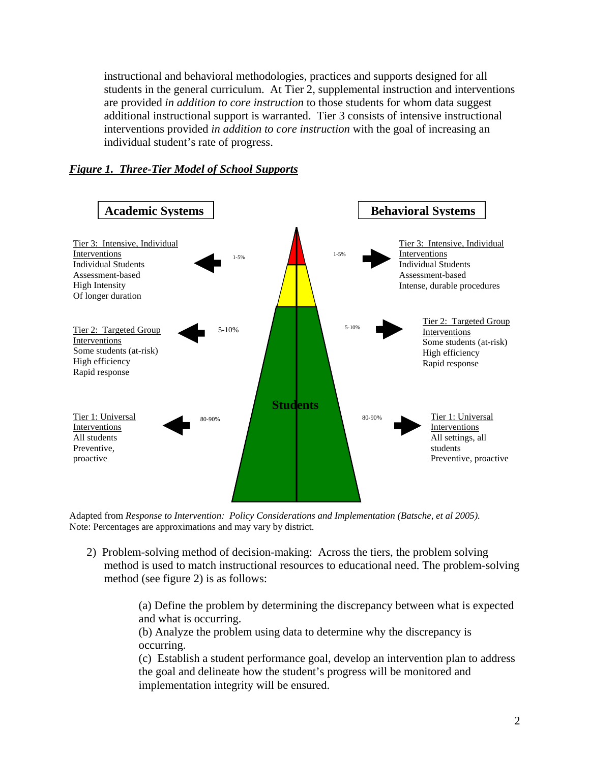instructional and behavioral methodologies, practices and supports designed for all students in the general curriculum. At Tier 2, supplemental instruction and interventions are provided *in addition to core instruction* to those students for whom data suggest additional instructional support is warranted. Tier 3 consists of intensive instructional interventions provided *in addition to core instruction* with the goal of increasing an individual student's rate of progress.

#### *Figure 1. Three-Tier Model of School Supports*



Adapted from *Response to Intervention: Policy Considerations and Implementation (Batsche, et al 2005)*. Note: Percentages are approximations and may vary by district.

2) Problem-solving method of decision-making: Across the tiers, the problem solving method is used to match instructional resources to educational need. The problem-solving method (see figure 2) is as follows:

> (a) Define the problem by determining the discrepancy between what is expected and what is occurring.

(b) Analyze the problem using data to determine why the discrepancy is occurring.

(c) Establish a student performance goal, develop an intervention plan to address the goal and delineate how the student's progress will be monitored and implementation integrity will be ensured.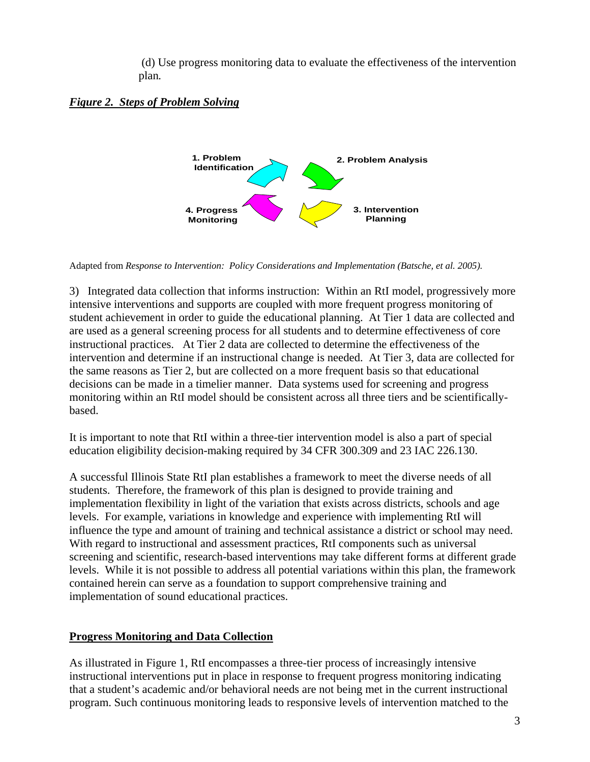(d) Use progress monitoring data to evaluate the effectiveness of the intervention plan*.* 

## *Figure 2. Steps of Problem Solving*



Adapted from *Response to Intervention: Policy Considerations and Implementation (Batsche, et al. 2005)*.

3) Integrated data collection that informs instruction: Within an RtI model, progressively more intensive interventions and supports are coupled with more frequent progress monitoring of student achievement in order to guide the educational planning. At Tier 1 data are collected and are used as a general screening process for all students and to determine effectiveness of core instructional practices. At Tier 2 data are collected to determine the effectiveness of the intervention and determine if an instructional change is needed. At Tier 3, data are collected for the same reasons as Tier 2, but are collected on a more frequent basis so that educational decisions can be made in a timelier manner. Data systems used for screening and progress monitoring within an RtI model should be consistent across all three tiers and be scientificallybased.

It is important to note that RtI within a three-tier intervention model is also a part of special education eligibility decision-making required by 34 CFR 300.309 and 23 IAC 226.130.

A successful Illinois State RtI plan establishes a framework to meet the diverse needs of all students. Therefore, the framework of this plan is designed to provide training and implementation flexibility in light of the variation that exists across districts, schools and age levels. For example, variations in knowledge and experience with implementing RtI will influence the type and amount of training and technical assistance a district or school may need. With regard to instructional and assessment practices, RtI components such as universal screening and scientific, research-based interventions may take different forms at different grade levels. While it is not possible to address all potential variations within this plan, the framework contained herein can serve as a foundation to support comprehensive training and implementation of sound educational practices.

## **Progress Monitoring and Data Collection**

As illustrated in Figure 1, RtI encompasses a three-tier process of increasingly intensive instructional interventions put in place in response to frequent progress monitoring indicating that a student's academic and/or behavioral needs are not being met in the current instructional program. Such continuous monitoring leads to responsive levels of intervention matched to the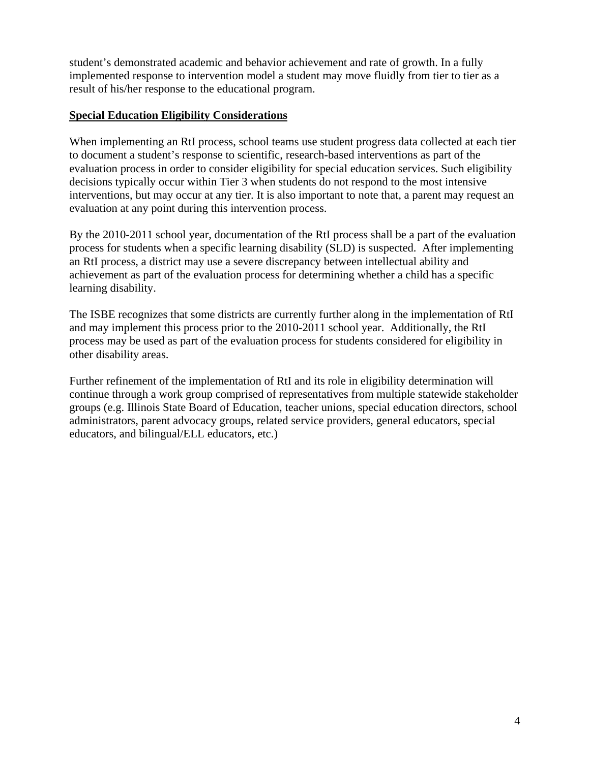student's demonstrated academic and behavior achievement and rate of growth. In a fully implemented response to intervention model a student may move fluidly from tier to tier as a result of his/her response to the educational program.

#### **Special Education Eligibility Considerations**

When implementing an RtI process, school teams use student progress data collected at each tier to document a student's response to scientific, research-based interventions as part of the evaluation process in order to consider eligibility for special education services. Such eligibility decisions typically occur within Tier 3 when students do not respond to the most intensive interventions, but may occur at any tier. It is also important to note that, a parent may request an evaluation at any point during this intervention process.

By the 2010-2011 school year, documentation of the RtI process shall be a part of the evaluation process for students when a specific learning disability (SLD) is suspected. After implementing an RtI process, a district may use a severe discrepancy between intellectual ability and achievement as part of the evaluation process for determining whether a child has a specific learning disability.

The ISBE recognizes that some districts are currently further along in the implementation of RtI and may implement this process prior to the 2010-2011 school year. Additionally, the RtI process may be used as part of the evaluation process for students considered for eligibility in other disability areas.

Further refinement of the implementation of RtI and its role in eligibility determination will continue through a work group comprised of representatives from multiple statewide stakeholder groups (e.g. Illinois State Board of Education, teacher unions, special education directors, school administrators, parent advocacy groups, related service providers, general educators, special educators, and bilingual/ELL educators, etc.)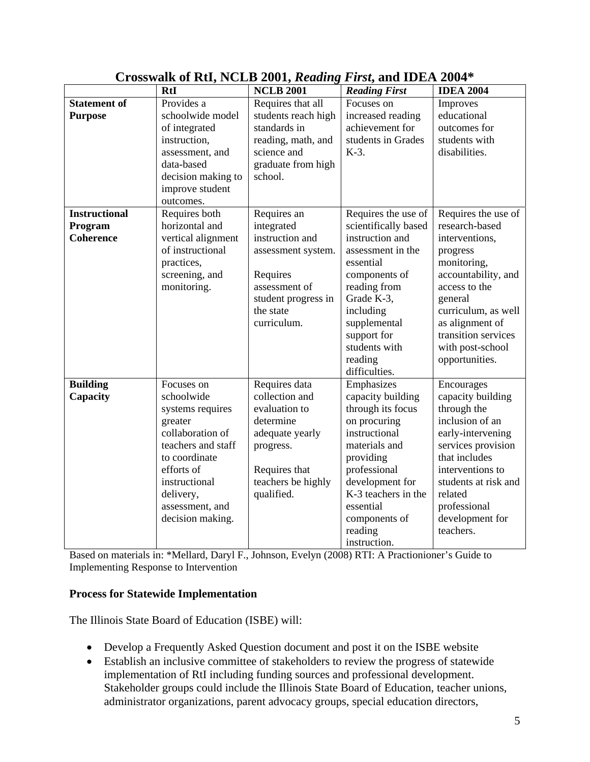|                      | <b>RtI</b>                   | <b>NCLB 2001</b>    | <b>Reading First</b> | <b>IDEA 2004</b>     |
|----------------------|------------------------------|---------------------|----------------------|----------------------|
| <b>Statement of</b>  | Provides a                   | Requires that all   | Focuses on           | Improves             |
| <b>Purpose</b>       | schoolwide model             | students reach high | increased reading    | educational          |
|                      | of integrated                | standards in        | achievement for      | outcomes for         |
|                      | instruction,                 | reading, math, and  | students in Grades   | students with        |
|                      | assessment, and              | science and         | $K-3$ .              | disabilities.        |
|                      | data-based                   | graduate from high  |                      |                      |
|                      | decision making to           | school.             |                      |                      |
|                      | improve student              |                     |                      |                      |
|                      | outcomes.                    |                     |                      |                      |
| <b>Instructional</b> | Requires both                | Requires an         | Requires the use of  | Requires the use of  |
| Program              | horizontal and               | integrated          | scientifically based | research-based       |
| <b>Coherence</b>     | vertical alignment           | instruction and     | instruction and      | interventions,       |
|                      | of instructional             | assessment system.  | assessment in the    | progress             |
|                      | practices,                   |                     | essential            | monitoring,          |
|                      | screening, and               | Requires            | components of        | accountability, and  |
|                      | monitoring.                  | assessment of       | reading from         | access to the        |
|                      |                              | student progress in | Grade K-3,           | general              |
|                      |                              | the state           | including            | curriculum, as well  |
|                      |                              | curriculum.         | supplemental         | as alignment of      |
|                      |                              |                     | support for          | transition services  |
|                      |                              |                     | students with        | with post-school     |
|                      |                              |                     | reading              | opportunities.       |
|                      |                              |                     | difficulties.        |                      |
| <b>Building</b>      | Focuses on                   | Requires data       | Emphasizes           | Encourages           |
| Capacity             | schoolwide                   | collection and      | capacity building    | capacity building    |
|                      | systems requires             | evaluation to       | through its focus    | through the          |
|                      | greater                      | determine           | on procuring         | inclusion of an      |
|                      | collaboration of             | adequate yearly     | instructional        | early-intervening    |
|                      | teachers and staff           | progress.           | materials and        | services provision   |
|                      | to coordinate                |                     | providing            | that includes        |
|                      | efforts of                   | Requires that       | professional         | interventions to     |
|                      | instructional                | teachers be highly  | development for      | students at risk and |
|                      |                              |                     | K-3 teachers in the  | related              |
|                      | delivery,<br>assessment, and | qualified.          | essential            | professional         |
|                      |                              |                     |                      | development for      |
|                      | decision making.             |                     | components of        |                      |
|                      |                              |                     | reading              | teachers.            |
|                      |                              |                     | instruction.         |                      |

# **Crosswalk of RtI, NCLB 2001,** *Reading First***, and IDEA 2004\***

Based on materials in: \*Mellard, Daryl F., Johnson, Evelyn (2008) RTI: A Practionioner's Guide to Implementing Response to Intervention

## **Process for Statewide Implementation**

The Illinois State Board of Education (ISBE) will:

- Develop a Frequently Asked Question document and post it on the ISBE website
- Establish an inclusive committee of stakeholders to review the progress of statewide implementation of RtI including funding sources and professional development. Stakeholder groups could include the Illinois State Board of Education, teacher unions, administrator organizations, parent advocacy groups, special education directors,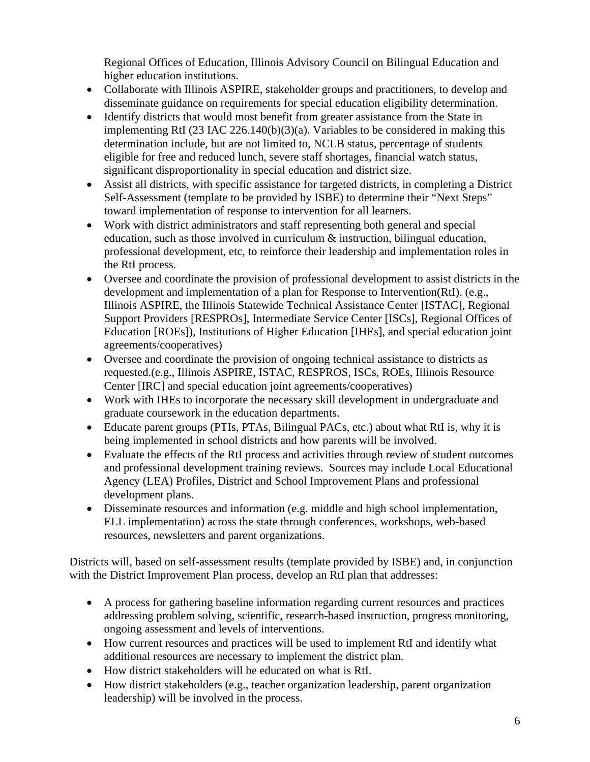Regional Offices of Education, Illinois Advisory Council on Bilingual Education and higher education institutions.

- Collaborate with Illinois ASPIRE, stakeholder groups and practitioners, to develop and disseminate guidance on requirements for special education eligibility determination.
- Identify districts that would most benefit from greater assistance from the State in implementing RtI (23 IAC 226.140(b)(3)(a). Variables to be considered in making this determination include, but are not limited to, NCLB status, percentage of students eligible for free and reduced lunch, severe staff shortages, financial watch status, significant disproportionality in special education and district size.
- Assist all districts, with specific assistance for targeted districts, in completing a District Self-Assessment (template to be provided by ISBE) to determine their "Next Steps" toward implementation of response to intervention for all learners.
- Work with district administrators and staff representing both general and special education, such as those involved in curriculum & instruction, bilingual education, professional development, etc, to reinforce their leadership and implementation roles in the RtI process.
- Oversee and coordinate the provision of professional development to assist districts in the development and implementation of a plan for Response to Intervention(RtI). (e.g., Illinois ASPIRE, the Illinois Statewide Technical Assistance Center [ISTAC], Regional Support Providers [RESPROs], Intermediate Service Center [ISCs], Regional Offices of Education [ROEs]), Institutions of Higher Education [IHEs], and special education joint agreements/cooperatives)
- Oversee and coordinate the provision of ongoing technical assistance to districts as requested.(e.g., Illinois ASPIRE, ISTAC, RESPROS, ISCs, ROEs, Illinois Resource Center [IRC] and special education joint agreements/cooperatives)
- Work with IHEs to incorporate the necessary skill development in undergraduate and graduate coursework in the education departments.
- Educate parent groups (PTIs, PTAs, Bilingual PACs, etc.) about what RtI is, why it is being implemented in school districts and how parents will be involved.
- Evaluate the effects of the RtI process and activities through review of student outcomes and professional development training reviews. Sources may include Local Educational Agency (LEA) Profiles, District and School Improvement Plans and professional development plans.
- Disseminate resources and information (e.g. middle and high school implementation, ELL implementation) across the state through conferences, workshops, web-based resources, newsletters and parent organizations.

Districts will, based on self-assessment results (template provided by ISBE) and, in conjunction with the District Improvement Plan process, develop an RtI plan that addresses:

- A process for gathering baseline information regarding current resources and practices addressing problem solving, scientific, research-based instruction, progress monitoring, ongoing assessment and levels of interventions.
- How current resources and practices will be used to implement RtI and identify what additional resources are necessary to implement the district plan.
- How district stakeholders will be educated on what is RtI.
- How district stakeholders (e.g., teacher organization leadership, parent organization leadership) will be involved in the process.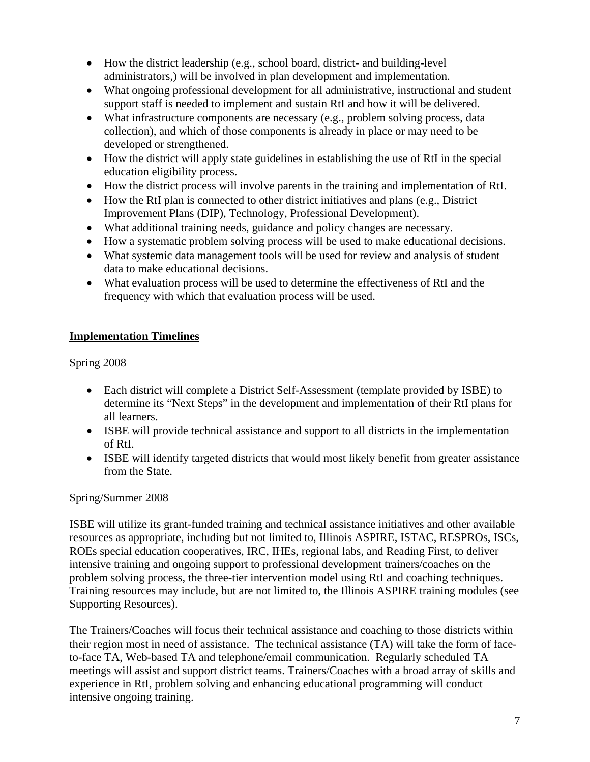- How the district leadership (e.g., school board, district- and building-level administrators,) will be involved in plan development and implementation.
- What ongoing professional development for all administrative, instructional and student support staff is needed to implement and sustain RtI and how it will be delivered.
- What infrastructure components are necessary (e.g., problem solving process, data collection), and which of those components is already in place or may need to be developed or strengthened.
- How the district will apply state guidelines in establishing the use of RtI in the special education eligibility process.
- How the district process will involve parents in the training and implementation of RtI.
- How the RtI plan is connected to other district initiatives and plans (e.g., District Improvement Plans (DIP), Technology, Professional Development).
- What additional training needs, guidance and policy changes are necessary.
- How a systematic problem solving process will be used to make educational decisions.
- What systemic data management tools will be used for review and analysis of student data to make educational decisions.
- What evaluation process will be used to determine the effectiveness of RtI and the frequency with which that evaluation process will be used.

# **Implementation Timelines**

## Spring 2008

- Each district will complete a District Self-Assessment (template provided by ISBE) to determine its "Next Steps" in the development and implementation of their RtI plans for all learners.
- ISBE will provide technical assistance and support to all districts in the implementation of RtI.
- ISBE will identify targeted districts that would most likely benefit from greater assistance from the State.

## Spring/Summer 2008

ISBE will utilize its grant-funded training and technical assistance initiatives and other available resources as appropriate, including but not limited to, Illinois ASPIRE, ISTAC, RESPROs, ISCs, ROEs special education cooperatives, IRC, IHEs, regional labs, and Reading First, to deliver intensive training and ongoing support to professional development trainers/coaches on the problem solving process, the three-tier intervention model using RtI and coaching techniques. Training resources may include, but are not limited to, the Illinois ASPIRE training modules (see Supporting Resources).

The Trainers/Coaches will focus their technical assistance and coaching to those districts within their region most in need of assistance. The technical assistance (TA) will take the form of faceto-face TA, Web-based TA and telephone/email communication. Regularly scheduled TA meetings will assist and support district teams. Trainers/Coaches with a broad array of skills and experience in RtI, problem solving and enhancing educational programming will conduct intensive ongoing training.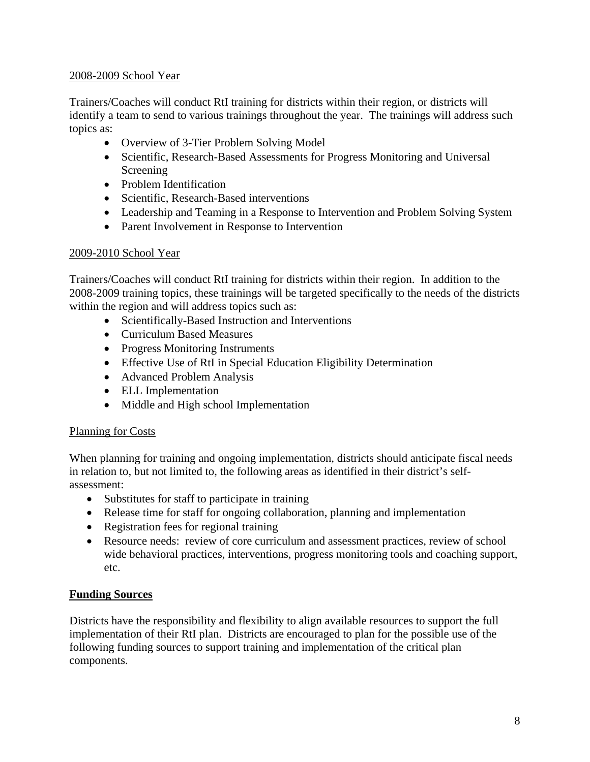#### 2008-2009 School Year

Trainers/Coaches will conduct RtI training for districts within their region, or districts will identify a team to send to various trainings throughout the year. The trainings will address such topics as:

- Overview of 3-Tier Problem Solving Model
- Scientific, Research-Based Assessments for Progress Monitoring and Universal Screening
- Problem Identification
- Scientific, Research-Based interventions
- Leadership and Teaming in a Response to Intervention and Problem Solving System
- Parent Involvement in Response to Intervention

## 2009-2010 School Year

Trainers/Coaches will conduct RtI training for districts within their region. In addition to the 2008-2009 training topics, these trainings will be targeted specifically to the needs of the districts within the region and will address topics such as:

- Scientifically-Based Instruction and Interventions
- Curriculum Based Measures
- Progress Monitoring Instruments
- Effective Use of RtI in Special Education Eligibility Determination
- Advanced Problem Analysis
- ELL Implementation
- Middle and High school Implementation

## Planning for Costs

When planning for training and ongoing implementation, districts should anticipate fiscal needs in relation to, but not limited to, the following areas as identified in their district's selfassessment:

- Substitutes for staff to participate in training
- Release time for staff for ongoing collaboration, planning and implementation
- Registration fees for regional training
- Resource needs: review of core curriculum and assessment practices, review of school wide behavioral practices, interventions, progress monitoring tools and coaching support, etc.

## **Funding Sources**

Districts have the responsibility and flexibility to align available resources to support the full implementation of their RtI plan. Districts are encouraged to plan for the possible use of the following funding sources to support training and implementation of the critical plan components.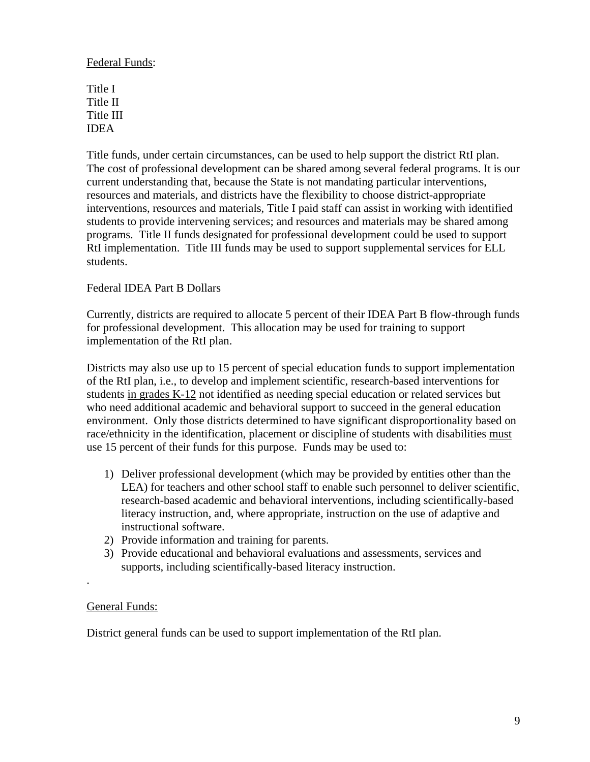#### Federal Funds:

Title I Title II Title III IDEA

Title funds, under certain circumstances, can be used to help support the district RtI plan. The cost of professional development can be shared among several federal programs. It is our current understanding that, because the State is not mandating particular interventions, resources and materials, and districts have the flexibility to choose district-appropriate interventions, resources and materials, Title I paid staff can assist in working with identified students to provide intervening services; and resources and materials may be shared among programs. Title II funds designated for professional development could be used to support RtI implementation. Title III funds may be used to support supplemental services for ELL students.

#### Federal IDEA Part B Dollars

Currently, districts are required to allocate 5 percent of their IDEA Part B flow-through funds for professional development. This allocation may be used for training to support implementation of the RtI plan.

Districts may also use up to 15 percent of special education funds to support implementation of the RtI plan, i.e., to develop and implement scientific, research-based interventions for students in grades K-12 not identified as needing special education or related services but who need additional academic and behavioral support to succeed in the general education environment. Only those districts determined to have significant disproportionality based on race/ethnicity in the identification, placement or discipline of students with disabilities must use 15 percent of their funds for this purpose. Funds may be used to:

- 1) Deliver professional development (which may be provided by entities other than the LEA) for teachers and other school staff to enable such personnel to deliver scientific, research-based academic and behavioral interventions, including scientifically-based literacy instruction, and, where appropriate, instruction on the use of adaptive and instructional software.
- 2) Provide information and training for parents.
- 3) Provide educational and behavioral evaluations and assessments, services and supports, including scientifically-based literacy instruction.

#### General Funds:

.

District general funds can be used to support implementation of the RtI plan.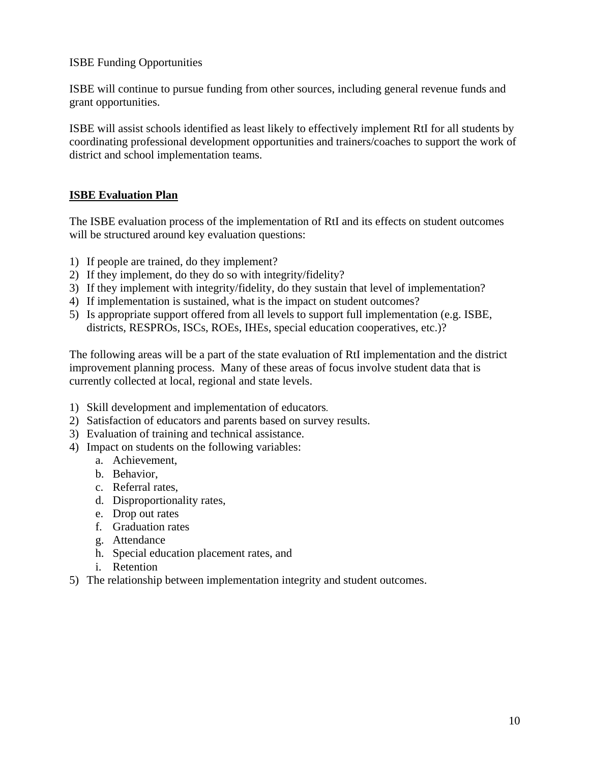ISBE Funding Opportunities

ISBE will continue to pursue funding from other sources, including general revenue funds and grant opportunities.

ISBE will assist schools identified as least likely to effectively implement RtI for all students by coordinating professional development opportunities and trainers/coaches to support the work of district and school implementation teams.

# **ISBE Evaluation Plan**

The ISBE evaluation process of the implementation of RtI and its effects on student outcomes will be structured around key evaluation questions:

- 1) If people are trained, do they implement?
- 2) If they implement, do they do so with integrity/fidelity?
- 3) If they implement with integrity/fidelity, do they sustain that level of implementation?
- 4) If implementation is sustained, what is the impact on student outcomes?
- 5) Is appropriate support offered from all levels to support full implementation (e.g. ISBE, districts, RESPROs, ISCs, ROEs, IHEs, special education cooperatives, etc.)?

The following areas will be a part of the state evaluation of RtI implementation and the district improvement planning process. Many of these areas of focus involve student data that is currently collected at local, regional and state levels.

- 1) Skill development and implementation of educators.
- 2) Satisfaction of educators and parents based on survey results.
- 3) Evaluation of training and technical assistance.
- 4) Impact on students on the following variables:
	- a. Achievement,
	- b. Behavior,
	- c. Referral rates,
	- d. Disproportionality rates,
	- e. Drop out rates
	- f. Graduation rates
	- g. Attendance
	- h. Special education placement rates, and
	- i. Retention
- 5) The relationship between implementation integrity and student outcomes.